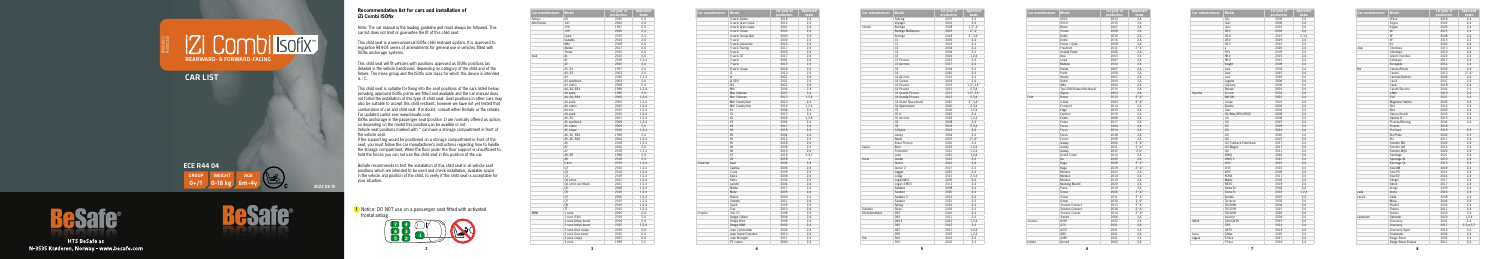**5**



**!** Notice: DO NOT use on a passenger seat fitted with activated frontal airbag.

| Car manufacturer | <b>Model</b>          | 1st year of | Approved |
|------------------|-----------------------|-------------|----------|
|                  |                       | production  | seats    |
| Aiways           | U <sub>5</sub>        | 2020        | 2,4      |
| Alfa Romeo       | 147                   | 2000        | 2,4      |
|                  | 156                   | 1997        | 2,4      |
|                  | 159                   | 2006        | 2,4      |
|                  | Giulia                | 2015        | 2,4      |
|                  | Giulietta             | 2010        | 2,4      |
|                  | Mito                  | 2008        | 2,4      |
|                  | Stelvio               | 2017        | 2,4      |
|                  | Tonale                | 2022        | 2,4      |
| Audi             | A1                    | 2010        | 2,4      |
|                  | A1                    | 2018        | 1,2,4    |
|                  | A2                    | 2000        | 2,4      |
|                  | A3, S3                | 1997        | 2,4      |
|                  | A3, S3                | 2003        | 2,4      |
|                  | A3                    | 2020        | 1,2,4    |
|                  | A3 sportback          | 2003        | 2,4      |
|                  | A3 cabrio             | 2008        | 2,4      |
|                  | A4, S4, RS4           | 1998        | 1,2,4    |
|                  | A4 avant              | 1996        | 2,4      |
|                  | A4, S4, RS4           | 2000        | 1,2,4    |
|                  | A4 avant              | 2000        | 1,2,4    |
|                  | A4 cabrio             | 2002        | 1,2,4    |
|                  | A4 imo                | 2015        |          |
|                  | A4 avant              | 2015        | 1,2,4    |
|                  |                       |             | 1,2,4    |
|                  | A5. S5                | 2007        | 1,2,4    |
|                  | A5 sportback          | 2009        | 1,2,4    |
|                  | A5 cabrio             | 2009        | 2,4      |
|                  | A5 coupe              | 2016        | 1,2,4    |
|                  | A6, S6, RS6           | 1998        | 2,4      |
|                  | A6, S6, RS6           | 2004        | 1,2,4    |
|                  | A6                    | 2018        | 1,2,4    |
|                  | A7                    | 2010        | 2,4      |
|                  | А7                    | 2018        | 1,2,4    |
|                  | A8, S8                | 1998        | 2,4      |
|                  | A8                    | 2018        | 2,4      |
|                  | E-tron                | 2019        | 1,2,4    |
|                  | Q2                    | 2016        | 1,2,4    |
|                  | Q3                    | 2010        | 1,2,4    |
|                  | 03                    | 2018        | 1,2,4    |
|                  | 04 e-tron             | 2021        | 1,2,4    |
|                  | Q4 e-tron sportback   | 2021        | 1,2,4    |
|                  | Q5                    | 2008        | 1,2,4    |
|                  | Q5                    | 2016        | 1,2,4    |
|                  | Q7                    | 2006        | 1,2,4    |
|                  | Q7                    | 2015        | 1,2,4    |
|                  | 80                    | 2019        | 1,2,4    |
|                  | <b>TT</b>             | 2015        | 1,2,4    |
|                  |                       |             |          |
| <b>BMW</b>       | 1 serie               | 2005        | 2,4      |
|                  | 1 serie (F40)         | 2019        | 2,4      |
|                  | 2 serie Active tourer | 2014        | 2,4      |
|                  | 2 serie Active tourer | 2022        | 1,2,4    |
|                  | 2 serie Gran coupe    | 2019        | 2,4      |
|                  | 2 serie Gran tourer   | 2015        | 2,4      |
|                  | 2 serie Coupe         | 2021        | 2,4      |
|                  | 3 serie               | 1998        | 2,4      |

| Car manufacturer | <b>Model</b>        | 1st year of<br>production | <b>Approved</b><br>seats |
|------------------|---------------------|---------------------------|--------------------------|
|                  | 3 serie Sedan       | 2018                      | 2,4                      |
|                  | 4 serie Gran coupe  | 2014                      | 2,4                      |
|                  | 4 serie Gran coupe  | 2021                      | 2,4                      |
|                  | 4 serie Coupe       | 2020                      | 2,4                      |
|                  | 4 serie Convertible | 2020                      | 2,4                      |
|                  | 5 serie             | 2000                      | 2,4                      |
|                  | 5 serie Limousine   | 2016                      | 2,4                      |
|                  | 5 serie Touring     | 2017                      | 2,4                      |
|                  | 6 serie             | 2003                      | 2,4                      |
|                  | 6 serie GT          | 2017                      | 2,4                      |
|                  | 7 serie             | 2001                      |                          |
|                  |                     |                           | 2,4                      |
|                  | 7 serie             | 2015                      | 2,4                      |
|                  | 8 serie Coupe       | 2018                      | 2,4                      |
|                  | i3                  | 2013                      | 2,4                      |
|                  | 4                   | 2021                      | 2,4                      |
|                  | iX (i20)            | 2021                      | 2,4                      |
|                  | iX3                 | 2021                      | 2,4                      |
|                  | Mini                | 2006                      | 2,4                      |
|                  | Mini Clubman        | 2007                      | 2,4                      |
|                  | Mini Clubman        | 2015                      | 1.2.4                    |
|                  | Mini Countryman     | 2010                      | 2,4                      |
|                  | Mini Countryman     | 2016                      | 1.2.4                    |
|                  | X1                  | 2004                      | 2,4                      |
|                  | X1                  | 2015                      | 2,4                      |
|                  | X1                  | 2022                      | 1,2,4                    |
|                  | X <sub>3</sub>      | 2004                      | 2,4                      |
|                  | X <sub>3</sub>      | 2017                      | 2,4                      |
|                  | X <sub>4</sub>      | 2018                      | 2,4                      |
|                  | <b>X5</b>           | 2004                      | 2,4                      |
|                  | X <sub>5</sub>      | 2013                      | 2,4                      |
|                  | X5                  | 2018                      | 2,4                      |
|                  | X6                  | 2008                      | 2,4                      |
|                  | X6                  | 2019                      | 2,4                      |
|                  | X7                  | 2018                      | 2,4,7                    |
|                  | Z4                  | 2018                      | $\mathbf{1}$             |
| Chevrolet        | Aveo                | 2006                      | 2,4                      |
|                  | Captiva             | 2006                      | 2,4                      |
|                  |                     |                           |                          |
|                  | Cruze               | 2009                      | 2,4                      |
|                  | Epica               | 2006                      | 2,4                      |
|                  | Kalos               | 2002                      | 2,4                      |
|                  | Lacetti             | 2004                      | 2,4                      |
|                  | Malibu              | 2011                      | 2,4                      |
|                  | Matiz               | 2005                      | 2,4                      |
|                  | Nubira              | 2009                      | 2,4                      |
|                  | Orlando             | 2011                      | 2,4                      |
|                  | Spark               | 2009                      | 2,4                      |
|                  | Trax                | 2013                      | 2,4                      |
| Chrysler         | 300 CC              | 2008                      | 2,4                      |
|                  | Dodge Caliber       | 2006                      | 2,4                      |
|                  | Dodge Nitro         | 2006                      | 2,4                      |
|                  | Dodge RAM           | 2002                      | 2,4                      |
|                  | Jeep Commander      | 2006                      | 2,4                      |
|                  | Jeep Grand Cherokee | 2010                      | 2,4                      |
|                  | Jeep Wrangler       | 2011                      | 2,4                      |
|                  | PT cruiser          | 2000                      | 2,4                      |
|                  |                     |                           |                          |

 $0+$ /1  $\bigcup$  0-18 kg  $\bigcup$  6m-4y ECE R44 04 GROUP WEIGHT AGE



**HTS BeSafe as** N-3535 Krøderen, Norway - www.besafe.com



Note: The car manual is the leading guideline and must always be followed. This car list does not limit or guarantee the fit of this child seat.

| Car manufacturer      | <b>Model</b>               | 1st year of<br>production | <b>Approved</b><br>seats     |
|-----------------------|----------------------------|---------------------------|------------------------------|
|                       | Sebring                    | 2007                      | 2,4                          |
|                       | Voyager                    | 2001                      | 2,4                          |
| Citroën               | Berlingo                   | 2008                      | $1,2^*,4^*$                  |
|                       | <b>Berlingo Multispace</b> | 2012                      | $2^{\star}$ ,4 $^{\star}$    |
|                       | Berlingo                   | 2018                      | $2^{\star}$ , 3,4 $^{\star}$ |
|                       | C1                         | 2005                      | 2,4                          |
|                       | C1                         | 2014                      | 2,4                          |
|                       | C <sub>2</sub>             | 2004                      | 2,4                          |
|                       | C <sub>3</sub>             | 2004                      | 2,4                          |
|                       | C <sub>3</sub>             | 2016                      | 1,2,4                        |
|                       | C3 Picasso                 | 2013                      | 2,4                          |
|                       | C3 Aircross                | 2017                      | 2,4                          |
|                       | C <sub>4</sub>             | 2004                      | 2,4                          |
|                       | C <sub>4</sub>             | 2020                      | 2,4                          |
|                       | C4 Aircross                | 2012                      | 2,4                          |
|                       | C4 Cactus                  | 2014                      | 2,4                          |
|                       | C4 Picasso                 | 2007                      | $1,2^{\star},3,4^{\star}$    |
|                       | C4 Picasso                 | 2013                      | 2,3,4                        |
|                       | C4 Grande Picasso          | 2007                      | $1, 2^{\star}, 3, 4^{\star}$ |
|                       | C4 Grande Picasso          | 2013                      | 2,3,4                        |
|                       | C4 Grand Spacetourer       | 2020                      | $2^{\star}$ , 3,4 $^{\star}$ |
|                       | C4 Spacetourer             | 2020                      |                              |
|                       |                            |                           | 2,3,4                        |
|                       | C <sub>5</sub><br>C5X      | 2000                      | 1,2,4                        |
|                       |                            | 2022                      | 2,4                          |
|                       | C5 Aircross                | 2018                      | 1,2,4                        |
|                       | C <sub>6</sub>             | 2008                      | 2,4                          |
|                       | C <sub>8</sub>             | 2003                      | 2,3,4                        |
|                       | C-Elysée                   | 2012                      | 2,4                          |
|                       | Jumpy                      | 2004                      | 2,4                          |
|                       | Nemo                       | 2007                      | $2^{\star}$ ,4 $^{\star}$    |
|                       | Xsara Picasso              | 2000                      | 2,4                          |
| Cupra                 | Born                       | 2022                      | 1,2,4                        |
|                       | Formentor                  | 2021                      | 1,2,4                        |
|                       | Leon                       | 2021                      | 1,2,4                        |
| Dacia                 | Dokker                     | 2012                      | 2,4                          |
|                       | Duster                     | 2010                      | 2,4                          |
|                       | Duster <sub>2</sub>        | 2017                      | 2,4                          |
|                       | Jogger                     | 2021                      | 2,4                          |
|                       | Lodgy                      | 2012                      | 2,3,4                        |
|                       | Logan MCV                  | 2005                      | 2,4                          |
|                       | Logan 2 MCV                | 2013                      | 2,4                          |
|                       | Sandero                    | 2008                      | 2,4                          |
|                       | Sandero                    | 2020                      | 2,4                          |
|                       | Sandero 2                  | 2013                      | 2,4                          |
|                       | Sandero                    | 2021                      | 2,4                          |
|                       | Spring                     | 2021                      | 2,4                          |
| Daihatsu              | Sirion                     | 2005                      | 2,4                          |
| <b>DS Automobiles</b> | DS3                        | 2010                      | 2,4                          |
|                       | DS4                        | 2011                      | 2,4                          |
|                       | DS4 II                     | 2021                      | 1,2,4                        |
|                       | DS <sub>5</sub>            | 2012                      | 2,4                          |
|                       | DS7                        | 2017                      | 1,2,4                        |
|                       | DS <sub>9</sub>            | 2022                      | 1,2,4                        |
| Fiat                  | 500                        | 2007                      | 2,4                          |
|                       | 500                        | 2016                      | 2,4                          |

B905-8011 N2001330

## REARWARD- & FORWARD-FACING

CAR LIST

2022 06 15

## **Recommendation list for cars and installation of iZi Combi ISOfix**

This child seat is a semi-universal ISOfix child restraint system. It is approved to regulation R44-04 series of amendments for general use in vehicles fitted with ISOfix anchorage systems.

This child seat will fit vehicles with positions approved as ISOfix positions (as detailed in the vehicle handbook), depending on category of the child and of the fixture. The mass group and the ISOfix size class for which this device is intended is : C.

This child seat is suitable for fixing into the seat positions of the cars listed below, providing approved ISOfix points are fitted and available and the car manual does not forbid the installation of this type of child seat. Seat positions in other cars may also be suitable to accept this child restraint, however we have not yet tested that combination of car and child seat. If in doubt, consult either BeSafe or the retailer. For updated carlist see: www.besafe.com

ISOfix anchorage in the passenger seat (position 1) are normally offered as option, so depending on the model this position can be availble or not.

Vehicle seat positions marked with \* can have a storage compartment in front of the vehicle seat.

If the support leg would be positioned on a storage compartment in front of the seat, you must follow the car manufacturer's instructions regarding how to handle the storage compartment. When the floor under the floor support is unsufficient to hold the forces you can not use this child seat in this position of the car.

BeSafe recommends to test the installation of this child seat in all vehicle seat positions which are intended to be used and check installation, available space in the vehicle and position of the child, to verify if this child seat is acceptable for your situation.

| Car manufacturer | <b>Model</b>              | 1st year of | Approv                     |
|------------------|---------------------------|-------------|----------------------------|
|                  |                           | production  | seats                      |
|                  | 500L                      | 2013        | 2,4                        |
|                  | 500 X                     | 2015        | 2,4                        |
|                  | Bravo                     | 2007        | 2,4                        |
|                  | Croma                     | 2008        | 2,4                        |
|                  | Doblò                     | 2010        | 2,4                        |
|                  | Doblò                     | 2016        | 2,4                        |
|                  | Fiorno / Qubo             | 2008        | 2,4                        |
|                  | Freemont                  | 2011        | $2^{\star}$ ,4 $^{\star}$  |
|                  | Grande Punto              | 2006        | 2,4                        |
|                  | Idea                      | 2003        | 2,4                        |
|                  | Linea                     | 2007        | 2,4                        |
|                  | Multipla                  | 2004        | 2,4                        |
|                  | Panda                     | 2007        | 2,4                        |
|                  | Punto                     | 2008        | 2,4                        |
|                  | Scudo                     | 2007        | 2,4                        |
|                  | Sedici                    | 2009        | 2,4                        |
|                  | Stilo                     | 2004        | 2,4                        |
|                  | Tipo (SW/Sedan/Hatchback) | 2016        | 2,4                        |
|                  | Ulysse                    | 2003        | 2,4                        |
| Ford             | B-max                     | 2012        | $2^{\star}$ ,4 $^{\star}$  |
|                  | C-max                     | 2003        | $2^{\star}$ ,4 $^{\star}$  |
|                  | Ecosport                  | 2014        | 2,4                        |
|                  | Edge                      | 2015        | 2,4                        |
|                  | Explorer                  | 2019        | 2,4                        |
|                  | Fiesta                    | 2008        | 2,4                        |
|                  | Fiesta                    | 2017        | 2,4                        |
|                  | Focus                     | 2004        | 2,4                        |
|                  | Focus                     | 2014        | 2,4                        |
|                  | Focus                     | 2018        | 2,4                        |
|                  | Fusion                    | 2008        | 2,4                        |
|                  | Galaxy                    | 2006        | $2^{\star}$ , 4 $^{\star}$ |
|                  |                           |             |                            |
|                  | Galaxy                    | 2011        | $2^{\star}$ ,4 $^{\star}$  |
|                  | Galaxy                    | 2015        | $2.4*$                     |
|                  | Grand C-max               | 2010        | 2,4                        |
|                  | Ka                        | 2009        | 2,4                        |
|                  | Kuga                      | 2008        | $2^{\star}$ ,4 $^{\star}$  |
|                  | Kuga                      | 2019        | $2^{\star}$ ,4 $^{\star}$  |
|                  | Mondeo                    | 2000        | 2,4                        |
|                  | Mondeo                    | 2014        | 2,4                        |
|                  | Mondeo                    | 2019        | 2,4                        |
|                  | Mustang Mach-E            | 2020        | 2,4                        |
|                  | Puma                      | 2019        | 2.4                        |
|                  | S-max                     | 2006        | $2^{\star}$ , 4 $^{\star}$ |
|                  | S-max                     | 2011        | $2^{\star}$ ,4 $^{\star}$  |
|                  | S-max                     | 2015        | $2, 4^*$                   |
|                  | Tourneo Connect           | 2013        | $2^{\star}$ ,4 $^{\star}$  |
|                  | Tourneo Connect           | 2018        | $2^{\star}$ ,4 $^{\star}$  |
|                  | Tourneo Courier           | 2014        | $2^{\star}$ ,4 $^{\star}$  |
|                  | Transit                   | 2006        | 2,4                        |
| Genesis          | GV60                      | 2022        | 2,4                        |
|                  | G70                       | 2021        | 2,4                        |
|                  | GV70                      | 2021        | 2,4                        |
|                  | G80                       | 2021        | 2,4                        |
|                  | <b>GV80</b>               | 2021        | 2,4                        |
|                  | Accord                    | 2003        | 2,4                        |

**Contract Contract Contract** 

| Model                     | 1st vear of<br>production | <b>Approved</b><br>seats   |
|---------------------------|---------------------------|----------------------------|
| 500 L                     | 2013                      | 2,4                        |
| 500 X                     | 2015                      | 2,4                        |
| Bravo                     | 2007                      | 2,4                        |
| Croma                     | 2008                      | 2,4                        |
| Doblò                     | 2010                      | 2,4                        |
| Doblò                     | 2016                      | 2,4                        |
| Fiorno / Qubo             | 2008                      | 2,4                        |
| Freemont                  | 2011                      | $2^*$ , 4*                 |
| Grande Punto              | 2006                      | 2.4                        |
| Idea                      | 2003                      | 2,4                        |
| Linea                     | 2007                      | 2,4                        |
| Multipla                  | 2004                      | 2,4                        |
| Panda                     | 2007                      | 2,4                        |
| Punto                     | 2008                      | 2,4                        |
| Scudo                     | 2007                      |                            |
| Sedici                    | 2009                      | 2,4                        |
| Stilo                     |                           | 2,4                        |
|                           | 2004                      | 2,4                        |
| Tipo (SW/Sedan/Hatchback) | 2016                      | 2,4                        |
| Ulysse                    | 2003                      | 2,4                        |
| B-max                     | 2012                      | $2^{\star}$ ,4 $^{\star}$  |
| C-max                     | 2003                      | $2^{\star}$ ,4 $^{\star}$  |
| Ecosport                  | 2014                      | 2,4                        |
| Edge                      | 2015                      | 2,4                        |
| Explorer                  | 2019                      | 2,4                        |
| Fiesta                    | 2008                      | 2,4                        |
| Fiesta                    | 2017                      | 2,4                        |
| Focus                     | 2004                      | 2,4                        |
| Focus                     | 2014                      | 2,4                        |
| Focus                     | 2018                      | 2,4                        |
| Fusion                    | 2008                      | 2,4                        |
| Galaxy                    | 2006                      | $2^{\star}$ ,4 $^{\star}$  |
| Galaxy                    | 2011                      | $2^{\star}$ ,4 $^{\star}$  |
| Galaxy                    | 2015                      | $2.4*$                     |
| Grand C-max               | 2010                      | 2,4                        |
| Ka                        | 2009                      | 2,4                        |
| Kuga                      | 2008                      | $2^{\star}$ ,4 $^{\star}$  |
| Kuga                      | 2019                      | $2^{\star}$ ,4 $^{\star}$  |
| Mondeo                    | 2000                      | 2,4                        |
| Mondeo                    | 2014                      | 2,4                        |
| Mondeo                    | 2019                      | 2,4                        |
| Mustang Mach-E            | 2020                      | 2,4                        |
| Puma                      | 2019                      | 2,4                        |
| S-max                     | 2006                      | $2^*$ , 4*                 |
| S-max                     | 2011                      | $2^{\star}$ ,4 $^{\star}$  |
| S-max                     | 2015                      | $2,4*$                     |
|                           |                           |                            |
| Tourneo Connect           | 2013                      | $2^*$ , 4*                 |
| Tourneo Connect           | 2018                      | $2^{\star}$ , 4 $^{\star}$ |
| Tourneo Courier           | 2014                      | $2^{\star}$ , 4 $^{\star}$ |
| Transit                   | 2006                      | 2,4                        |
| GV60                      | 2022                      | 2,4                        |
| G70                       | 2021                      | 2,4                        |
| GV70                      | 2021                      | 2,4                        |
| G80                       | 2021                      | 2,4                        |
| GV80                      | 2021                      | 2,4                        |
| Accord                    | 2003                      | 2,4                        |
|                           |                           |                            |

| City<br>2009<br>Civic<br>2006<br>Civic<br>2022<br>CR-V<br>2002<br>CR-V<br>2012<br>CR-V<br>2019<br>2010<br>CR-Z<br>2020<br>e<br>FR-V<br>2005<br>HR-V<br>2015<br>HR-V<br>2021<br>Insight<br>2009<br>2002<br>2,4<br>Jazz<br>Jazz<br>2015<br>2,4<br>Jazz<br>2020<br>2006<br>Legend<br>2006<br>Odyssey<br>Stream<br>2001<br>Hyundai<br>Accent<br>2002<br><b>BAYON</b><br>2021<br>2001<br>Coupe<br>Elantra<br>2002<br>Getz<br>2002<br>H1/iMax/i800/H300<br>2008<br>i10<br>2008<br>i10<br>2019<br>i20<br>2009<br>i20<br>2014<br>i20<br>2020<br>i30<br>2007<br>i30 Fastback/Hatchback<br>2017<br>i30 Wagon<br>2017<br>i40<br>2011<br><b>IONIO</b><br>2016<br>IONIO 5<br>2021<br>iX20<br>2010<br>iX35<br>2010<br>iX55<br>2009<br>KONA<br>2017<br>Matrix<br>2002<br><b>NEXO</b><br>2018<br>Santa Fe<br>2002<br>2018<br>Santa Fe<br>Sonata<br>2001<br>2002<br>Terracan<br><b>TUCSON</b><br>2004<br>2015<br><b>TUCSON</b><br><b>TUCSON</b><br>2020<br>Veloster<br>2004<br>Infiniti<br>Q30/QX30<br>2015<br>Q50<br>2014 | Car manufacturer | <b>Model</b> | 1st year of<br>production | <b>Approved</b><br>seats |
|-----------------------------------------------------------------------------------------------------------------------------------------------------------------------------------------------------------------------------------------------------------------------------------------------------------------------------------------------------------------------------------------------------------------------------------------------------------------------------------------------------------------------------------------------------------------------------------------------------------------------------------------------------------------------------------------------------------------------------------------------------------------------------------------------------------------------------------------------------------------------------------------------------------------------------------------------------------------------------------------------------------|------------------|--------------|---------------------------|--------------------------|
|                                                                                                                                                                                                                                                                                                                                                                                                                                                                                                                                                                                                                                                                                                                                                                                                                                                                                                                                                                                                           |                  |              |                           | 2,4                      |
|                                                                                                                                                                                                                                                                                                                                                                                                                                                                                                                                                                                                                                                                                                                                                                                                                                                                                                                                                                                                           |                  |              |                           | 2,4                      |
|                                                                                                                                                                                                                                                                                                                                                                                                                                                                                                                                                                                                                                                                                                                                                                                                                                                                                                                                                                                                           |                  |              |                           | 2,4                      |
|                                                                                                                                                                                                                                                                                                                                                                                                                                                                                                                                                                                                                                                                                                                                                                                                                                                                                                                                                                                                           |                  |              |                           | 2,4                      |
|                                                                                                                                                                                                                                                                                                                                                                                                                                                                                                                                                                                                                                                                                                                                                                                                                                                                                                                                                                                                           |                  |              |                           | 2,3,4                    |
|                                                                                                                                                                                                                                                                                                                                                                                                                                                                                                                                                                                                                                                                                                                                                                                                                                                                                                                                                                                                           |                  |              |                           | 2,4                      |
|                                                                                                                                                                                                                                                                                                                                                                                                                                                                                                                                                                                                                                                                                                                                                                                                                                                                                                                                                                                                           |                  |              |                           | 2,4                      |
|                                                                                                                                                                                                                                                                                                                                                                                                                                                                                                                                                                                                                                                                                                                                                                                                                                                                                                                                                                                                           |                  |              |                           | 2,4                      |
|                                                                                                                                                                                                                                                                                                                                                                                                                                                                                                                                                                                                                                                                                                                                                                                                                                                                                                                                                                                                           |                  |              |                           | 2,4                      |
|                                                                                                                                                                                                                                                                                                                                                                                                                                                                                                                                                                                                                                                                                                                                                                                                                                                                                                                                                                                                           |                  |              |                           | 2,4                      |
|                                                                                                                                                                                                                                                                                                                                                                                                                                                                                                                                                                                                                                                                                                                                                                                                                                                                                                                                                                                                           |                  |              |                           | 2,4                      |
|                                                                                                                                                                                                                                                                                                                                                                                                                                                                                                                                                                                                                                                                                                                                                                                                                                                                                                                                                                                                           |                  |              |                           | 2,4                      |
|                                                                                                                                                                                                                                                                                                                                                                                                                                                                                                                                                                                                                                                                                                                                                                                                                                                                                                                                                                                                           |                  |              |                           |                          |
|                                                                                                                                                                                                                                                                                                                                                                                                                                                                                                                                                                                                                                                                                                                                                                                                                                                                                                                                                                                                           |                  |              |                           |                          |
|                                                                                                                                                                                                                                                                                                                                                                                                                                                                                                                                                                                                                                                                                                                                                                                                                                                                                                                                                                                                           |                  |              |                           |                          |
|                                                                                                                                                                                                                                                                                                                                                                                                                                                                                                                                                                                                                                                                                                                                                                                                                                                                                                                                                                                                           |                  |              |                           | 2,4                      |
|                                                                                                                                                                                                                                                                                                                                                                                                                                                                                                                                                                                                                                                                                                                                                                                                                                                                                                                                                                                                           |                  |              |                           | 2,4                      |
|                                                                                                                                                                                                                                                                                                                                                                                                                                                                                                                                                                                                                                                                                                                                                                                                                                                                                                                                                                                                           |                  |              |                           | 2,4                      |
|                                                                                                                                                                                                                                                                                                                                                                                                                                                                                                                                                                                                                                                                                                                                                                                                                                                                                                                                                                                                           |                  |              |                           | 2,4                      |
|                                                                                                                                                                                                                                                                                                                                                                                                                                                                                                                                                                                                                                                                                                                                                                                                                                                                                                                                                                                                           |                  |              |                           | 2,4                      |
|                                                                                                                                                                                                                                                                                                                                                                                                                                                                                                                                                                                                                                                                                                                                                                                                                                                                                                                                                                                                           |                  |              |                           | 2,4                      |
|                                                                                                                                                                                                                                                                                                                                                                                                                                                                                                                                                                                                                                                                                                                                                                                                                                                                                                                                                                                                           |                  |              |                           | 2,4                      |
|                                                                                                                                                                                                                                                                                                                                                                                                                                                                                                                                                                                                                                                                                                                                                                                                                                                                                                                                                                                                           |                  |              |                           | 2,4                      |
|                                                                                                                                                                                                                                                                                                                                                                                                                                                                                                                                                                                                                                                                                                                                                                                                                                                                                                                                                                                                           |                  |              |                           | 2,4                      |
|                                                                                                                                                                                                                                                                                                                                                                                                                                                                                                                                                                                                                                                                                                                                                                                                                                                                                                                                                                                                           |                  |              |                           | 2,4                      |
|                                                                                                                                                                                                                                                                                                                                                                                                                                                                                                                                                                                                                                                                                                                                                                                                                                                                                                                                                                                                           |                  |              |                           | 2,4                      |
|                                                                                                                                                                                                                                                                                                                                                                                                                                                                                                                                                                                                                                                                                                                                                                                                                                                                                                                                                                                                           |                  |              |                           | 2,4                      |
|                                                                                                                                                                                                                                                                                                                                                                                                                                                                                                                                                                                                                                                                                                                                                                                                                                                                                                                                                                                                           |                  |              |                           | 2,4                      |
|                                                                                                                                                                                                                                                                                                                                                                                                                                                                                                                                                                                                                                                                                                                                                                                                                                                                                                                                                                                                           |                  |              |                           | 2,4                      |
|                                                                                                                                                                                                                                                                                                                                                                                                                                                                                                                                                                                                                                                                                                                                                                                                                                                                                                                                                                                                           |                  |              |                           | 2,4                      |
|                                                                                                                                                                                                                                                                                                                                                                                                                                                                                                                                                                                                                                                                                                                                                                                                                                                                                                                                                                                                           |                  |              |                           | 2,4                      |
|                                                                                                                                                                                                                                                                                                                                                                                                                                                                                                                                                                                                                                                                                                                                                                                                                                                                                                                                                                                                           |                  |              |                           | 2,4                      |
|                                                                                                                                                                                                                                                                                                                                                                                                                                                                                                                                                                                                                                                                                                                                                                                                                                                                                                                                                                                                           |                  |              |                           | 2,4                      |
|                                                                                                                                                                                                                                                                                                                                                                                                                                                                                                                                                                                                                                                                                                                                                                                                                                                                                                                                                                                                           |                  |              |                           | 2,4                      |
|                                                                                                                                                                                                                                                                                                                                                                                                                                                                                                                                                                                                                                                                                                                                                                                                                                                                                                                                                                                                           |                  |              |                           | 2,4                      |
|                                                                                                                                                                                                                                                                                                                                                                                                                                                                                                                                                                                                                                                                                                                                                                                                                                                                                                                                                                                                           |                  |              |                           | 2,4                      |
|                                                                                                                                                                                                                                                                                                                                                                                                                                                                                                                                                                                                                                                                                                                                                                                                                                                                                                                                                                                                           |                  |              |                           |                          |
|                                                                                                                                                                                                                                                                                                                                                                                                                                                                                                                                                                                                                                                                                                                                                                                                                                                                                                                                                                                                           |                  |              |                           | 2,4                      |
|                                                                                                                                                                                                                                                                                                                                                                                                                                                                                                                                                                                                                                                                                                                                                                                                                                                                                                                                                                                                           |                  |              |                           | 2,4                      |
|                                                                                                                                                                                                                                                                                                                                                                                                                                                                                                                                                                                                                                                                                                                                                                                                                                                                                                                                                                                                           |                  |              |                           | 2,4                      |
|                                                                                                                                                                                                                                                                                                                                                                                                                                                                                                                                                                                                                                                                                                                                                                                                                                                                                                                                                                                                           |                  |              |                           | 2,4                      |
|                                                                                                                                                                                                                                                                                                                                                                                                                                                                                                                                                                                                                                                                                                                                                                                                                                                                                                                                                                                                           |                  |              |                           | 2,4                      |
|                                                                                                                                                                                                                                                                                                                                                                                                                                                                                                                                                                                                                                                                                                                                                                                                                                                                                                                                                                                                           |                  |              |                           | 2,4                      |
|                                                                                                                                                                                                                                                                                                                                                                                                                                                                                                                                                                                                                                                                                                                                                                                                                                                                                                                                                                                                           |                  |              |                           | 2,4                      |
|                                                                                                                                                                                                                                                                                                                                                                                                                                                                                                                                                                                                                                                                                                                                                                                                                                                                                                                                                                                                           |                  |              |                           | 1,2,4                    |
|                                                                                                                                                                                                                                                                                                                                                                                                                                                                                                                                                                                                                                                                                                                                                                                                                                                                                                                                                                                                           |                  |              |                           | 2,4                      |
|                                                                                                                                                                                                                                                                                                                                                                                                                                                                                                                                                                                                                                                                                                                                                                                                                                                                                                                                                                                                           |                  |              |                           | 2,4                      |
|                                                                                                                                                                                                                                                                                                                                                                                                                                                                                                                                                                                                                                                                                                                                                                                                                                                                                                                                                                                                           |                  |              |                           | 2,4                      |
|                                                                                                                                                                                                                                                                                                                                                                                                                                                                                                                                                                                                                                                                                                                                                                                                                                                                                                                                                                                                           |                  |              |                           | 2,4                      |
|                                                                                                                                                                                                                                                                                                                                                                                                                                                                                                                                                                                                                                                                                                                                                                                                                                                                                                                                                                                                           |                  |              |                           | 2,4                      |
|                                                                                                                                                                                                                                                                                                                                                                                                                                                                                                                                                                                                                                                                                                                                                                                                                                                                                                                                                                                                           |                  |              |                           | 2,4                      |
|                                                                                                                                                                                                                                                                                                                                                                                                                                                                                                                                                                                                                                                                                                                                                                                                                                                                                                                                                                                                           |                  |              |                           | 2,4                      |
|                                                                                                                                                                                                                                                                                                                                                                                                                                                                                                                                                                                                                                                                                                                                                                                                                                                                                                                                                                                                           |                  |              |                           | 2,4                      |
|                                                                                                                                                                                                                                                                                                                                                                                                                                                                                                                                                                                                                                                                                                                                                                                                                                                                                                                                                                                                           |                  | <b>QX70</b>  | 2014                      | 2,4                      |
| D-Max<br>2020<br>Isuzu                                                                                                                                                                                                                                                                                                                                                                                                                                                                                                                                                                                                                                                                                                                                                                                                                                                                                                                                                                                    |                  |              |                           | 2,4                      |
| E-Pace<br>2017<br>Jaguar                                                                                                                                                                                                                                                                                                                                                                                                                                                                                                                                                                                                                                                                                                                                                                                                                                                                                                                                                                                  |                  |              |                           | 2,4                      |
| F-Pace<br>2016                                                                                                                                                                                                                                                                                                                                                                                                                                                                                                                                                                                                                                                                                                                                                                                                                                                                                                                                                                                            |                  |              |                           | 2,4                      |

|                  | <b>Model</b>       | 1st year of | <b>Approved</b>          |
|------------------|--------------------|-------------|--------------------------|
| Car manufacturer |                    | production  | seats                    |
|                  | <b>I-Pace</b>      | 2018        | 2,4                      |
|                  | S-type             | 2002        | 2,4                      |
|                  | X-type             | 2005        | 2,4                      |
|                  | XE                 | 2015        | 2,4                      |
|                  | XF                 | 2008        | 2,4                      |
|                  | XF                 | 2015        | 2,4                      |
|                  | <b>XJ</b>          | 2003        | 2,4                      |
| Jeep             | Cherokee           | 2013        | 2,4                      |
|                  | Cherokee           | 2019        | 2,4                      |
|                  | Grand Cherokee     | 2022        | 2,4                      |
|                  | Compass            | 2017        | 2,4                      |
|                  | Renegade           | 2014        | 2,4                      |
| Kia              | Carens/Rondo       | 2002        | 2,4                      |
|                  | Carens             | 2013        | $2^*$ , 4*               |
|                  | Carnival/Sedona    | 2006        | 2,4                      |
|                  | Cee'd              | 2007        | 2,4                      |
|                  |                    |             |                          |
|                  | Ceed               | 2018        | 2,4                      |
|                  | Cerato/Spectra     | 2004        | 2,4                      |
|                  | e-Niro             | 2019        | 2,4                      |
|                  | EV <sub>6</sub>    | 2021        | 2,4                      |
|                  | Magentis/Optima    | 2002        | 2,4                      |
|                  | Niro               | 2016        | 2,4                      |
|                  | Niro               | 2022        | 2,4                      |
|                  | Opirus/Amanti      | 2003        | 2,4                      |
|                  | Optima JF          | 2015        | 2,4                      |
|                  | Picanto/Morning    | 2004        | 2,4                      |
|                  | Picanto            | 2018        | $\overline{\phantom{a}}$ |
|                  | ProCeed            | 2018        | 2.4                      |
|                  | Rio/Pride          | 2002        | 2,4                      |
|                  | Rio                | 2017        | 2,4                      |
|                  | Sorento XM         | 2002        | 2,4                      |
|                  | Sorento UM         | 2014        | 2,4                      |
|                  | Sorento MQ4        | 2020        | 2,4                      |
|                  | Sportage           | 2021        | 2,4                      |
|                  | Sportage SL        | 2010        | 2,4                      |
|                  | Sportage QL        | 2015        | 2,4                      |
|                  | Soul AM            | 2009        | 2,4                      |
|                  | Soul PS            | 2014        | 2,4                      |
|                  | Soul EV            | 2014        | 2,4                      |
|                  | Stinger            | 2017        | 2,4                      |
|                  | Stonic             | 2017        | 2,4                      |
|                  | Venga              | 2009        | 2,4                      |
| Lada             | Vesta              | 2016        | 2,4                      |
| Lancia           | Delta              | 2008        | 2,4                      |
|                  | Musa               | 2004        | 2,4                      |
|                  | Phedra             | 2002        | 2,4                      |
|                  | Thema              | 2011        | 2,4                      |
|                  | Ypsilon            | 2003        | 2,4                      |
| Landrover        | Defender           | 2020        | 1,2,4                    |
|                  | Discovery          | 2001        | 2,4                      |
|                  | Discovery          | 2017        | 1,2,4,5,7                |
|                  | Discovery Sport    | 2014        | 2,4                      |
|                  | Freelander         | 2006        | 2,4                      |
|                  | Range Rover        | 2002        | 2,4                      |
|                  | Range Rover Evoque | 2011        | 2.4                      |
|                  |                    |             |                          |